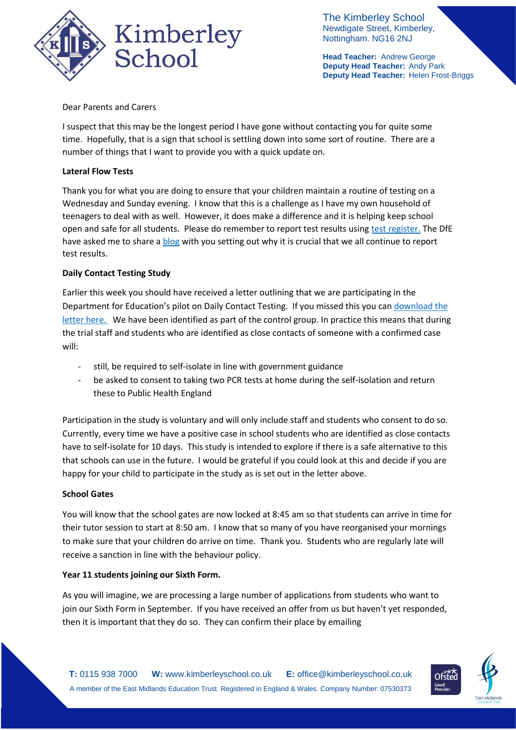

The Kimberley School Newdigate Street, Kimberley, Nottingham. NG16 2NJ

**Head Teacher:** Andrew George **Deputy Head Teacher:** Andy Park **Deputy Head Teacher:** Helen Frost-Briggs

Dear Parents and Carers

I suspect that this may be the longest period I have gone without contacting you for quite some time. Hopefully, that is a sign that school is settling down into some sort of routine. There are a number of things that I want to provide you with a quick update on.

# **Lateral Flow Tests**

Thank you for what you are doing to ensure that your children maintain a routine of testing on a Wednesday and Sunday evening. I know that this is a challenge as I have my own household of teenagers to deal with as well. However, it does make a difference and it is helping keep school open and safe for all students. Please do remember to report test results using [test register.](https://testregister.co.uk/login) The DfE have asked me to share a **blog** with you setting out why it is crucial that we all continue to report test results.

## **Daily Contact Testing Study**

Earlier this week you should have received a letter outlining that we are participating in the Department for Education's pilot on Daily Contact Testing. If you missed this you ca[n download the](https://676e78de-15d9-46b7-9fcd-a49f46e58722.filesusr.com/ugd/b2657a_ee5c21dfafb2411c9abe3105b39b7aa1.pdf)  [letter here.](https://676e78de-15d9-46b7-9fcd-a49f46e58722.filesusr.com/ugd/b2657a_ee5c21dfafb2411c9abe3105b39b7aa1.pdf) We have been identified as part of the control group. In practice this means that during the trial staff and students who are identified as close contacts of someone with a confirmed case will:

- still, be required to self-isolate in line with government guidance
- be asked to consent to taking two PCR tests at home during the self-isolation and return these to Public Health England

Participation in the study is voluntary and will only include staff and students who consent to do so. Currently, every time we have a positive case in school students who are identified as close contacts have to self-isolate for 10 days. This study is intended to explore if there is a safe alternative to this that schools can use in the future. I would be grateful if you could look at this and decide if you are happy for your child to participate in the study as is set out in the letter above.

### **School Gates**

You will know that the school gates are now locked at 8:45 am so that students can arrive in time for their tutor session to start at 8:50 am. I know that so many of you have reorganised your mornings to make sure that your children do arrive on time. Thank you. Students who are regularly late will receive a sanction in line with the behaviour policy.

### **Year 11 students joining our Sixth Form.**

As you will imagine, we are processing a large number of applications from students who want to join our Sixth Form in September. If you have received an offer from us but haven't yet responded, then it is important that they do so. They can confirm their place by emailing